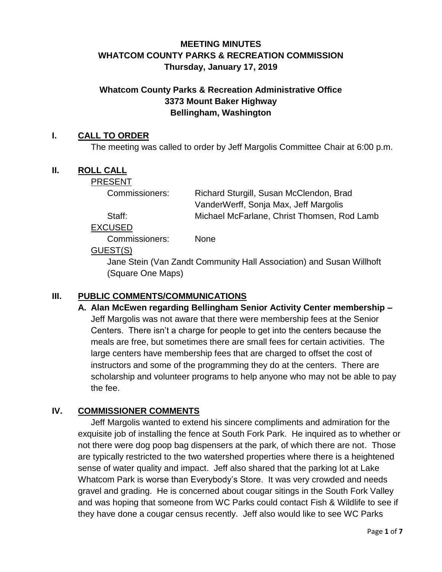# **MEETING MINUTES WHATCOM COUNTY PARKS & RECREATION COMMISSION Thursday, January 17, 2019**

## **Whatcom County Parks & Recreation Administrative Office 3373 Mount Baker Highway Bellingham, Washington**

## **I. CALL TO ORDER**

The meeting was called to order by Jeff Margolis Committee Chair at 6:00 p.m.

## **II. ROLL CALL**

PRESENT

Commissioners: Richard Sturgill, Susan McClendon, Brad VanderWerff, Sonja Max, Jeff Margolis Staff: Michael McFarlane, Christ Thomsen, Rod Lamb

EXCUSED

Commissioners: None

## GUEST(S)

Jane Stein (Van Zandt Community Hall Association) and Susan Willhoft (Square One Maps)

## **III. PUBLIC COMMENTS/COMMUNICATIONS**

**A. Alan McEwen regarding Bellingham Senior Activity Center membership –** Jeff Margolis was not aware that there were membership fees at the Senior Centers. There isn't a charge for people to get into the centers because the meals are free, but sometimes there are small fees for certain activities. The large centers have membership fees that are charged to offset the cost of instructors and some of the programming they do at the centers. There are scholarship and volunteer programs to help anyone who may not be able to pay the fee.

# **IV. COMMISSIONER COMMENTS**

Jeff Margolis wanted to extend his sincere compliments and admiration for the exquisite job of installing the fence at South Fork Park. He inquired as to whether or not there were dog poop bag dispensers at the park, of which there are not. Those are typically restricted to the two watershed properties where there is a heightened sense of water quality and impact. Jeff also shared that the parking lot at Lake Whatcom Park is worse than Everybody's Store. It was very crowded and needs gravel and grading. He is concerned about cougar sitings in the South Fork Valley and was hoping that someone from WC Parks could contact Fish & Wildlife to see if they have done a cougar census recently. Jeff also would like to see WC Parks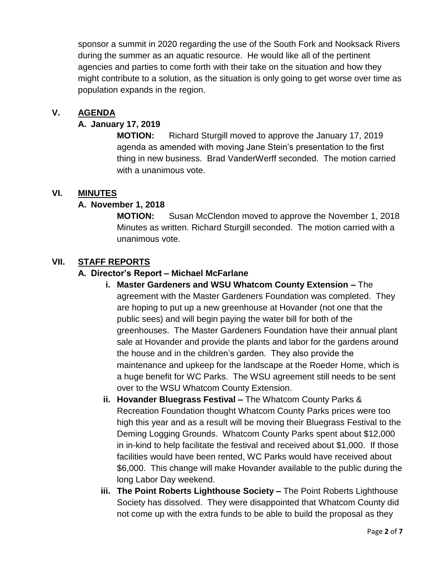sponsor a summit in 2020 regarding the use of the South Fork and Nooksack Rivers during the summer as an aquatic resource. He would like all of the pertinent agencies and parties to come forth with their take on the situation and how they might contribute to a solution, as the situation is only going to get worse over time as population expands in the region.

## **V. AGENDA**

#### **A. January 17, 2019**

**MOTION:** Richard Sturgill moved to approve the January 17, 2019 agenda as amended with moving Jane Stein's presentation to the first thing in new business. Brad VanderWerff seconded. The motion carried with a unanimous vote.

## **VI. MINUTES**

## **A. November 1, 2018**

**MOTION:** Susan McClendon moved to approve the November 1, 2018 Minutes as written. Richard Sturgill seconded. The motion carried with a unanimous vote.

## **VII. STAFF REPORTS**

## **A. Director's Report – Michael McFarlane**

- **i. Master Gardeners and WSU Whatcom County Extension –** The agreement with the Master Gardeners Foundation was completed. They are hoping to put up a new greenhouse at Hovander (not one that the public sees) and will begin paying the water bill for both of the greenhouses. The Master Gardeners Foundation have their annual plant sale at Hovander and provide the plants and labor for the gardens around the house and in the children's garden. They also provide the maintenance and upkeep for the landscape at the Roeder Home, which is a huge benefit for WC Parks. The WSU agreement still needs to be sent over to the WSU Whatcom County Extension.
- **ii. Hovander Bluegrass Festival –** The Whatcom County Parks & Recreation Foundation thought Whatcom County Parks prices were too high this year and as a result will be moving their Bluegrass Festival to the Deming Logging Grounds. Whatcom County Parks spent about \$12,000 in in-kind to help facilitate the festival and received about \$1,000. If those facilities would have been rented, WC Parks would have received about \$6,000. This change will make Hovander available to the public during the long Labor Day weekend.
- **iii. The Point Roberts Lighthouse Society –** The Point Roberts Lighthouse Society has dissolved. They were disappointed that Whatcom County did not come up with the extra funds to be able to build the proposal as they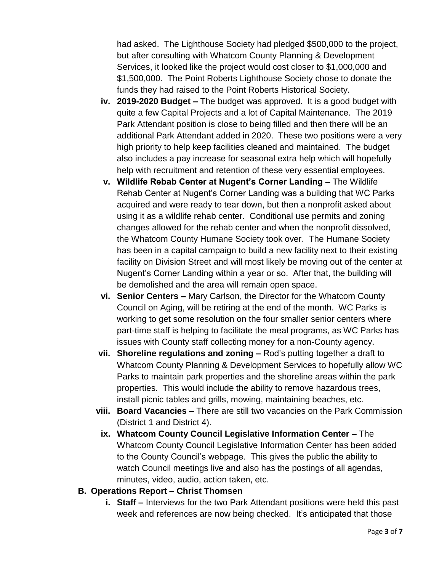had asked. The Lighthouse Society had pledged \$500,000 to the project, but after consulting with Whatcom County Planning & Development Services, it looked like the project would cost closer to \$1,000,000 and \$1,500,000. The Point Roberts Lighthouse Society chose to donate the funds they had raised to the Point Roberts Historical Society.

- **iv. 2019-2020 Budget –** The budget was approved. It is a good budget with quite a few Capital Projects and a lot of Capital Maintenance. The 2019 Park Attendant position is close to being filled and then there will be an additional Park Attendant added in 2020. These two positions were a very high priority to help keep facilities cleaned and maintained. The budget also includes a pay increase for seasonal extra help which will hopefully help with recruitment and retention of these very essential employees.
- **v. Wildlife Rebab Center at Nugent's Corner Landing –** The Wildlife Rehab Center at Nugent's Corner Landing was a building that WC Parks acquired and were ready to tear down, but then a nonprofit asked about using it as a wildlife rehab center. Conditional use permits and zoning changes allowed for the rehab center and when the nonprofit dissolved, the Whatcom County Humane Society took over. The Humane Society has been in a capital campaign to build a new facility next to their existing facility on Division Street and will most likely be moving out of the center at Nugent's Corner Landing within a year or so. After that, the building will be demolished and the area will remain open space.
- **vi. Senior Centers –** Mary Carlson, the Director for the Whatcom County Council on Aging, will be retiring at the end of the month. WC Parks is working to get some resolution on the four smaller senior centers where part-time staff is helping to facilitate the meal programs, as WC Parks has issues with County staff collecting money for a non-County agency.
- **vii. Shoreline regulations and zoning –** Rod's putting together a draft to Whatcom County Planning & Development Services to hopefully allow WC Parks to maintain park properties and the shoreline areas within the park properties. This would include the ability to remove hazardous trees, install picnic tables and grills, mowing, maintaining beaches, etc.
- **viii. Board Vacancies –** There are still two vacancies on the Park Commission (District 1 and District 4).
- **ix. Whatcom County Council Legislative Information Center –** The Whatcom County Council Legislative Information Center has been added to the County Council's webpage. This gives the public the ability to watch Council meetings live and also has the postings of all agendas, minutes, video, audio, action taken, etc.

#### **B. Operations Report – Christ Thomsen**

**i. Staff –** Interviews for the two Park Attendant positions were held this past week and references are now being checked. It's anticipated that those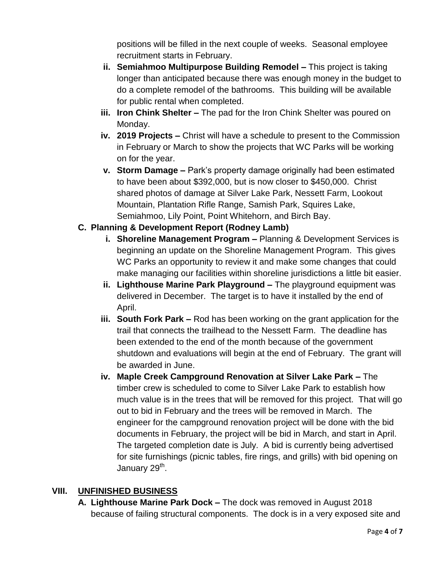positions will be filled in the next couple of weeks. Seasonal employee recruitment starts in February.

- **ii. Semiahmoo Multipurpose Building Remodel –** This project is taking longer than anticipated because there was enough money in the budget to do a complete remodel of the bathrooms. This building will be available for public rental when completed.
- **iii. Iron Chink Shelter –** The pad for the Iron Chink Shelter was poured on Monday.
- **iv. 2019 Projects –** Christ will have a schedule to present to the Commission in February or March to show the projects that WC Parks will be working on for the year.
- **v. Storm Damage –** Park's property damage originally had been estimated to have been about \$392,000, but is now closer to \$450,000. Christ shared photos of damage at Silver Lake Park, Nessett Farm, Lookout Mountain, Plantation Rifle Range, Samish Park, Squires Lake, Semiahmoo, Lily Point, Point Whitehorn, and Birch Bay.

# **C. Planning & Development Report (Rodney Lamb)**

- **i. Shoreline Management Program –** Planning & Development Services is beginning an update on the Shoreline Management Program. This gives WC Parks an opportunity to review it and make some changes that could make managing our facilities within shoreline jurisdictions a little bit easier.
- **ii. Lighthouse Marine Park Playground –** The playground equipment was delivered in December. The target is to have it installed by the end of April.
- **iii. South Fork Park –** Rod has been working on the grant application for the trail that connects the trailhead to the Nessett Farm. The deadline has been extended to the end of the month because of the government shutdown and evaluations will begin at the end of February. The grant will be awarded in June.
- **iv. Maple Creek Campground Renovation at Silver Lake Park –** The timber crew is scheduled to come to Silver Lake Park to establish how much value is in the trees that will be removed for this project. That will go out to bid in February and the trees will be removed in March. The engineer for the campground renovation project will be done with the bid documents in February, the project will be bid in March, and start in April. The targeted completion date is July. A bid is currently being advertised for site furnishings (picnic tables, fire rings, and grills) with bid opening on January 29<sup>th</sup>.

## **VIII. UNFINISHED BUSINESS**

**A. Lighthouse Marine Park Dock –** The dock was removed in August 2018 because of failing structural components. The dock is in a very exposed site and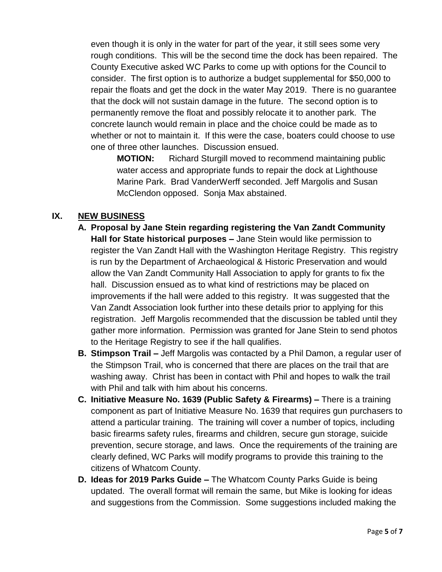even though it is only in the water for part of the year, it still sees some very rough conditions. This will be the second time the dock has been repaired. The County Executive asked WC Parks to come up with options for the Council to consider. The first option is to authorize a budget supplemental for \$50,000 to repair the floats and get the dock in the water May 2019. There is no guarantee that the dock will not sustain damage in the future. The second option is to permanently remove the float and possibly relocate it to another park. The concrete launch would remain in place and the choice could be made as to whether or not to maintain it. If this were the case, boaters could choose to use one of three other launches. Discussion ensued.

**MOTION:** Richard Sturgill moved to recommend maintaining public water access and appropriate funds to repair the dock at Lighthouse Marine Park. Brad VanderWerff seconded. Jeff Margolis and Susan McClendon opposed. Sonja Max abstained.

## **IX. NEW BUSINESS**

- **A. Proposal by Jane Stein regarding registering the Van Zandt Community Hall for State historical purposes –** Jane Stein would like permission to register the Van Zandt Hall with the Washington Heritage Registry. This registry is run by the Department of Archaeological & Historic Preservation and would allow the Van Zandt Community Hall Association to apply for grants to fix the hall. Discussion ensued as to what kind of restrictions may be placed on improvements if the hall were added to this registry. It was suggested that the Van Zandt Association look further into these details prior to applying for this registration. Jeff Margolis recommended that the discussion be tabled until they gather more information. Permission was granted for Jane Stein to send photos to the Heritage Registry to see if the hall qualifies.
- **B. Stimpson Trail –** Jeff Margolis was contacted by a Phil Damon, a regular user of the Stimpson Trail, who is concerned that there are places on the trail that are washing away. Christ has been in contact with Phil and hopes to walk the trail with Phil and talk with him about his concerns.
- **C. Initiative Measure No. 1639 (Public Safety & Firearms) –** There is a training component as part of Initiative Measure No. 1639 that requires gun purchasers to attend a particular training. The training will cover a number of topics, including basic firearms safety rules, firearms and children, secure gun storage, suicide prevention, secure storage, and laws. Once the requirements of the training are clearly defined, WC Parks will modify programs to provide this training to the citizens of Whatcom County.
- **D. Ideas for 2019 Parks Guide –** The Whatcom County Parks Guide is being updated. The overall format will remain the same, but Mike is looking for ideas and suggestions from the Commission. Some suggestions included making the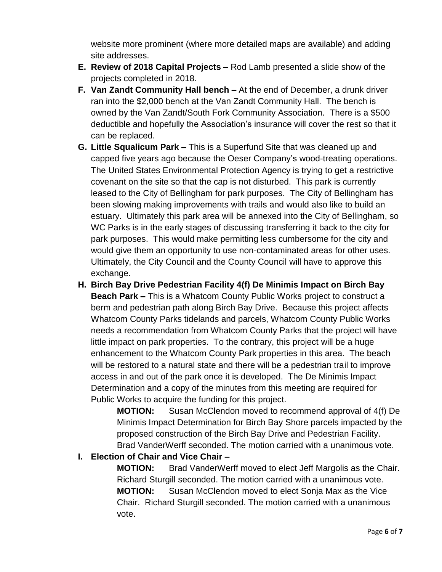website more prominent (where more detailed maps are available) and adding site addresses.

- **E. Review of 2018 Capital Projects –** Rod Lamb presented a slide show of the projects completed in 2018.
- **F. Van Zandt Community Hall bench –** At the end of December, a drunk driver ran into the \$2,000 bench at the Van Zandt Community Hall. The bench is owned by the Van Zandt/South Fork Community Association. There is a \$500 deductible and hopefully the Association's insurance will cover the rest so that it can be replaced.
- **G. Little Squalicum Park –** This is a Superfund Site that was cleaned up and capped five years ago because the Oeser Company's wood-treating operations. The United States Environmental Protection Agency is trying to get a restrictive covenant on the site so that the cap is not disturbed. This park is currently leased to the City of Bellingham for park purposes. The City of Bellingham has been slowing making improvements with trails and would also like to build an estuary. Ultimately this park area will be annexed into the City of Bellingham, so WC Parks is in the early stages of discussing transferring it back to the city for park purposes. This would make permitting less cumbersome for the city and would give them an opportunity to use non-contaminated areas for other uses. Ultimately, the City Council and the County Council will have to approve this exchange.
- **H. Birch Bay Drive Pedestrian Facility 4(f) De Minimis Impact on Birch Bay Beach Park –** This is a Whatcom County Public Works project to construct a berm and pedestrian path along Birch Bay Drive. Because this project affects Whatcom County Parks tidelands and parcels, Whatcom County Public Works needs a recommendation from Whatcom County Parks that the project will have little impact on park properties. To the contrary, this project will be a huge enhancement to the Whatcom County Park properties in this area. The beach will be restored to a natural state and there will be a pedestrian trail to improve access in and out of the park once it is developed. The De Minimis Impact Determination and a copy of the minutes from this meeting are required for Public Works to acquire the funding for this project.

**MOTION:** Susan McClendon moved to recommend approval of 4(f) De Minimis Impact Determination for Birch Bay Shore parcels impacted by the proposed construction of the Birch Bay Drive and Pedestrian Facility. Brad VanderWerff seconded. The motion carried with a unanimous vote.

# **I. Election of Chair and Vice Chair –**

**MOTION:** Brad VanderWerff moved to elect Jeff Margolis as the Chair. Richard Sturgill seconded. The motion carried with a unanimous vote. **MOTION:** Susan McClendon moved to elect Sonja Max as the Vice Chair. Richard Sturgill seconded. The motion carried with a unanimous vote.